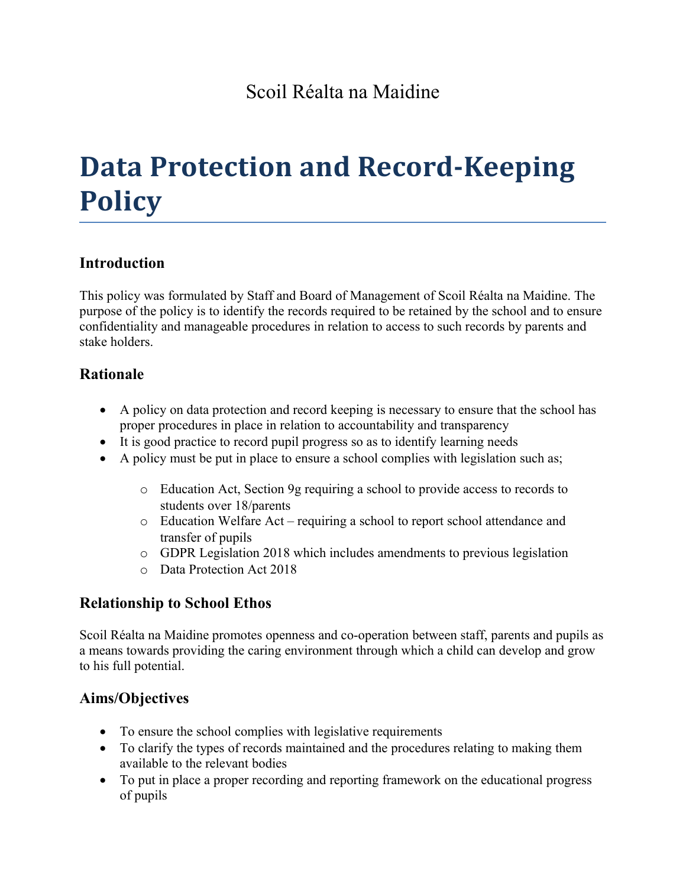# **Data Protection and Record-Keeping Policy**

# **Introduction**

This policy was formulated by Staff and Board of Management of Scoil Réalta na Maidine. The purpose of the policy is to identify the records required to be retained by the school and to ensure confidentiality and manageable procedures in relation to access to such records by parents and stake holders.

## **Rationale**

- A policy on data protection and record keeping is necessary to ensure that the school has proper procedures in place in relation to accountability and transparency
- It is good practice to record pupil progress so as to identify learning needs
- A policy must be put in place to ensure a school complies with legislation such as;
	- o Education Act, Section 9g requiring a school to provide access to records to students over 18/parents
	- o Education Welfare Act requiring a school to report school attendance and transfer of pupils
	- o GDPR Legislation 2018 which includes amendments to previous legislation
	- o Data Protection Act 2018

# **Relationship to School Ethos**

Scoil Réalta na Maidine promotes openness and co-operation between staff, parents and pupils as a means towards providing the caring environment through which a child can develop and grow to his full potential.

# **Aims/Objectives**

- To ensure the school complies with legislative requirements
- To clarify the types of records maintained and the procedures relating to making them available to the relevant bodies
- To put in place a proper recording and reporting framework on the educational progress of pupils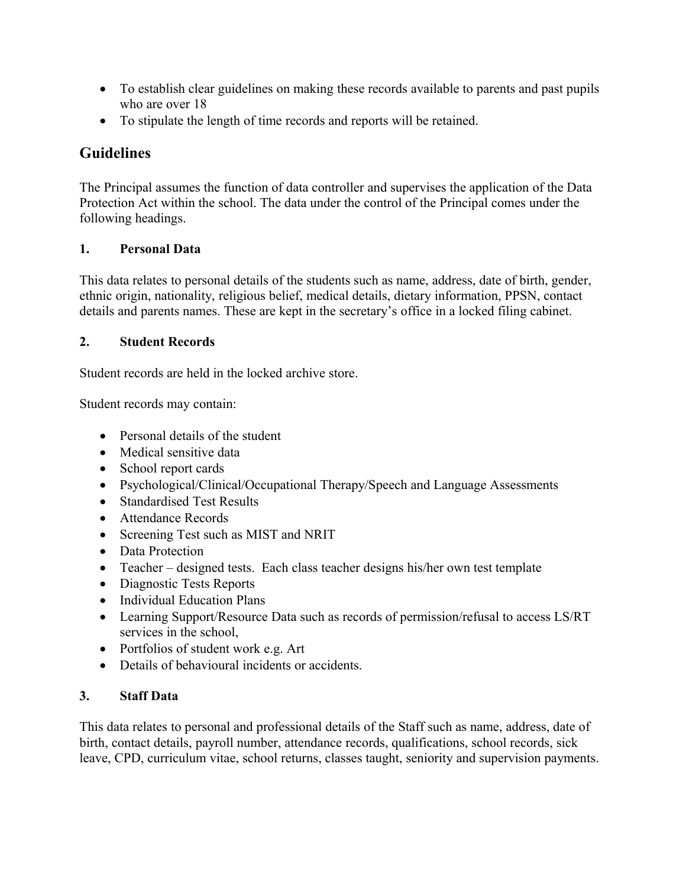- To establish clear guidelines on making these records available to parents and past pupils who are over  $18$
- To stipulate the length of time records and reports will be retained.

# **Guidelines**

The Principal assumes the function of data controller and supervises the application of the Data Protection Act within the school. The data under the control of the Principal comes under the following headings.

### **1. Personal Data**

This data relates to personal details of the students such as name, address, date of birth, gender, ethnic origin, nationality, religious belief, medical details, dietary information, PPSN, contact details and parents names. These are kept in the secretary's office in a locked filing cabinet.

## **2. Student Records**

Student records are held in the locked archive store.

Student records may contain:

- Personal details of the student
- Medical sensitive data
- School report cards
- Psychological/Clinical/Occupational Therapy/Speech and Language Assessments
- **Standardised Test Results**
- Attendance Records
- Screening Test such as MIST and NRIT
- Data Protection
- Teacher designed tests. Each class teacher designs his/her own test template
- Diagnostic Tests Reports
- Individual Education Plans
- Learning Support/Resource Data such as records of permission/refusal to access LS/RT services in the school,
- Portfolios of student work e.g. Art
- Details of behavioural incidents or accidents.

## **3. Staff Data**

This data relates to personal and professional details of the Staff such as name, address, date of birth, contact details, payroll number, attendance records, qualifications, school records, sick leave, CPD, curriculum vitae, school returns, classes taught, seniority and supervision payments.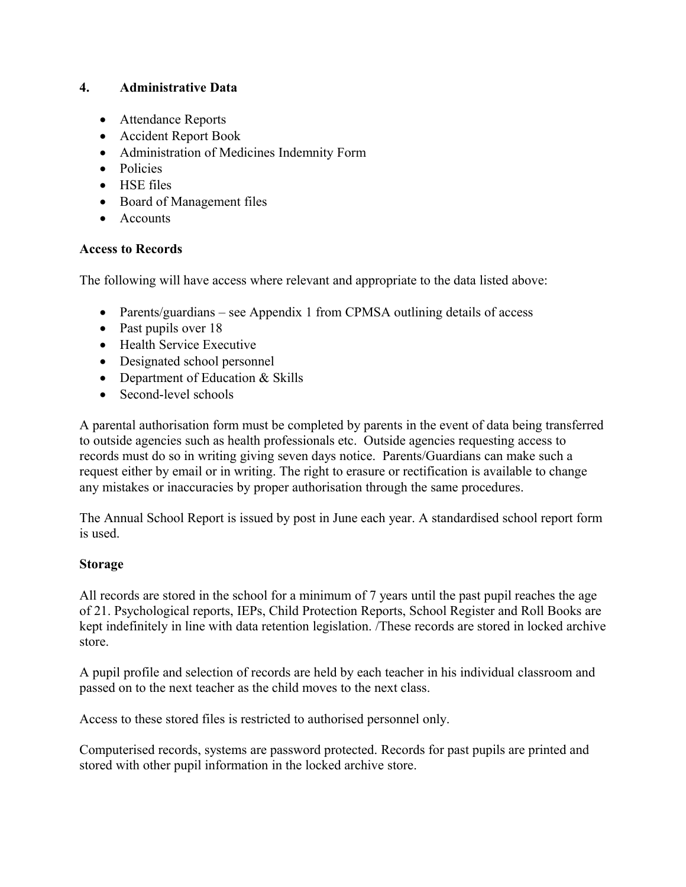#### **4. Administrative Data**

- Attendance Reports
- Accident Report Book
- Administration of Medicines Indemnity Form
- Policies
- HSE files
- Board of Management files
- Accounts

#### **Access to Records**

The following will have access where relevant and appropriate to the data listed above:

- Parents/guardians see Appendix 1 from CPMSA outlining details of access
- Past pupils over 18
- Health Service Executive
- Designated school personnel
- Department of Education & Skills
- Second-level schools

A parental authorisation form must be completed by parents in the event of data being transferred to outside agencies such as health professionals etc. Outside agencies requesting access to records must do so in writing giving seven days notice. Parents/Guardians can make such a request either by email or in writing. The right to erasure or rectification is available to change any mistakes or inaccuracies by proper authorisation through the same procedures.

The Annual School Report is issued by post in June each year. A standardised school report form is used.

#### **Storage**

All records are stored in the school for a minimum of 7 years until the past pupil reaches the age of 21. Psychological reports, IEPs, Child Protection Reports, School Register and Roll Books are kept indefinitely in line with data retention legislation. /These records are stored in locked archive store.

A pupil profile and selection of records are held by each teacher in his individual classroom and passed on to the next teacher as the child moves to the next class.

Access to these stored files is restricted to authorised personnel only.

Computerised records, systems are password protected. Records for past pupils are printed and stored with other pupil information in the locked archive store.